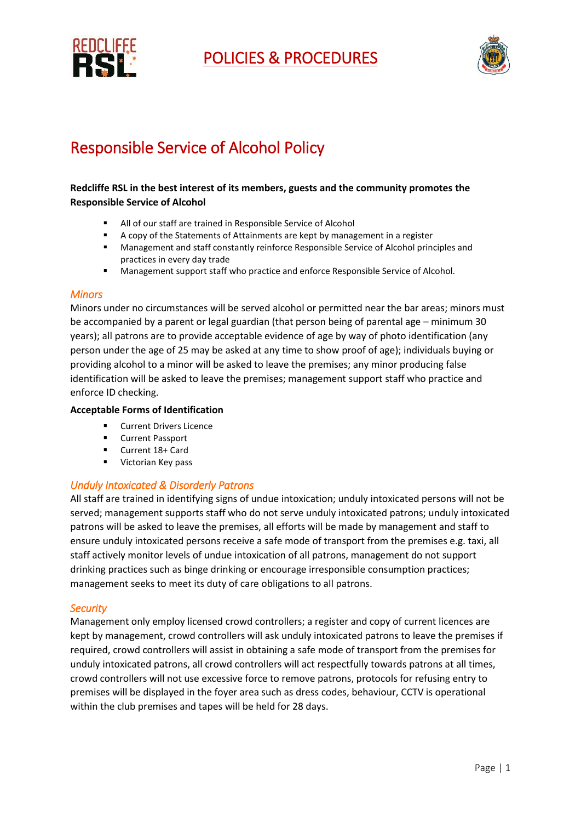



# Responsible Service of Alcohol Policy

## **Redcliffe RSL in the best interest of its members, guests and the community promotes the Responsible Service of Alcohol**

- All of our staff are trained in Responsible Service of Alcohol
- A copy of the Statements of Attainments are kept by management in a register
- Management and staff constantly reinforce Responsible Service of Alcohol principles and practices in every day trade
- **Management support staff who practice and enforce Responsible Service of Alcohol.**

## *Minors*

Minors under no circumstances will be served alcohol or permitted near the bar areas; minors must be accompanied by a parent or legal guardian (that person being of parental age – minimum 30 years); all patrons are to provide acceptable evidence of age by way of photo identification (any person under the age of 25 may be asked at any time to show proof of age); individuals buying or providing alcohol to a minor will be asked to leave the premises; any minor producing false identification will be asked to leave the premises; management support staff who practice and enforce ID checking.

## **Acceptable Forms of Identification**

- Current Drivers Licence
- **EXECUTE:** Current Passport
- Current 18+ Card
- **Victorian Key pass**

# *Unduly Intoxicated & Disorderly Patrons*

All staff are trained in identifying signs of undue intoxication; unduly intoxicated persons will not be served; management supports staff who do not serve unduly intoxicated patrons; unduly intoxicated patrons will be asked to leave the premises, all efforts will be made by management and staff to ensure unduly intoxicated persons receive a safe mode of transport from the premises e.g. taxi, all staff actively monitor levels of undue intoxication of all patrons, management do not support drinking practices such as binge drinking or encourage irresponsible consumption practices; management seeks to meet its duty of care obligations to all patrons.

## *Security*

Management only employ licensed crowd controllers; a register and copy of current licences are kept by management, crowd controllers will ask unduly intoxicated patrons to leave the premises if required, crowd controllers will assist in obtaining a safe mode of transport from the premises for unduly intoxicated patrons, all crowd controllers will act respectfully towards patrons at all times, crowd controllers will not use excessive force to remove patrons, protocols for refusing entry to premises will be displayed in the foyer area such as dress codes, behaviour, CCTV is operational within the club premises and tapes will be held for 28 days.